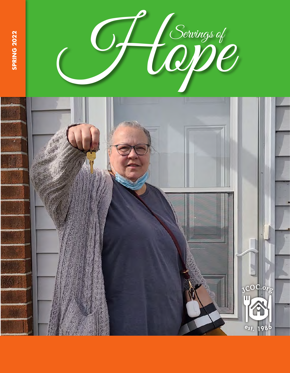

**SPRING 2022**

**SPRING 2022** 

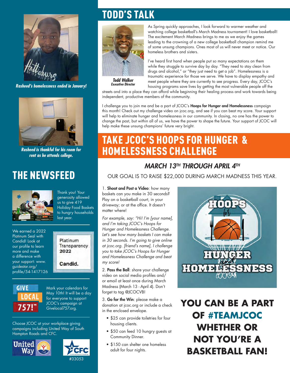![](_page_1_Picture_0.jpeg)

*Rasheed's homelessness ended in January!*

![](_page_1_Picture_2.jpeg)

*Rasheed is thankful for his room for rent as he attends college.*

# THE NEWSFEED

![](_page_1_Picture_5.jpeg)

Thank you! Your generosity allowed us to give 419 Holiday Food Baskets to hungry households last year.

We earned a 2022 Platinum Seal with Candid! Look at our profile to learn more and make a difference with your support: www. guidestar.org/ profile/54-1417126

![](_page_1_Picture_8.jpeg)

Mark your calendars for May 10th! It will be a day for everyone to support JCOC's campaign at Givelocal757.org.

Platinum Transparency

Candid.

2022

Choose JCOC at your workplace giving campaigns including United Way of South Hampton Roads and CFC.

![](_page_1_Picture_11.jpeg)

![](_page_1_Picture_12.jpeg)

# TODD'S TALK

![](_page_1_Picture_14.jpeg)

*Todd Walker Executive Director*

housing programs save lives by getting the most vulnerable people off the streets and into a place they can afford while beginning their healing process and work towards being independent, productive members of the community.

homeless brothers and sisters.

I challenge you to join me and be a part of JCOC's Hoops for Hunger and Homelessness campaign this month! Check out my challenge video on jcoc.org, and see if you can beat my score. Your support will help to eliminate hunger and homelessness in our community. In closing, no one has the power to change the past, but within all of us, we have the power to shape the future. Your support of JCOC will help make these unsung champions' future very bright.

As Spring quickly approaches, I look forward to warmer weather and watching college basketball's March Madness tournament! I love basketball! The excitement March Madness brings to me as we enjoy the games leading to the crowning of a new college basketball champion remind me of some unsung champions. Ones most of us will never meet or notice. Our

I've heard first hand when people put so many expectations on them while they struggle to survive day by day. "They need to stay clean from drugs and alcohol," or "they just need to get a job". Homelessness is a traumatic experience for those we serve. We have to display empathy and meet people where they are currently to see progress. Every day, JCOC's

## TAKE JCOC'S HOOPS FOR HUNGER & HOMELESSNESS CHALLENGE

### *MARCH 13TH THROUGH APRIL 4TH*

OUR GOAL IS TO RAISE \$22,000 DURING MARCH MADNESS THIS YEAR.

1. Shoot and Post a Video: how many baskets can you make in 30 seconds? Play on a basketball court, in your driveway; or at the office. It doesn't matter where!

*For example, say: "Hi! I'm [your name], and I'm taking JCOC's Hoops for Hunger and Homelessness Challenge. Let's see how many baskets I can make in 30 seconds. I'm going to give online at jcoc.org. [friend's name], I challenge you to take JCOC's Hoops for Hunger and Homelessness Challenge and beat my score!*

2. Pass the Ball: share your challenge video on social media profiles and/ or email at least once during March Madness (March 13 - April 4). Don't forget to tag @JCOCVB!

3. Go for the Win: please make a donation at jcoc.org or include a check in the enclosed envelope.

- \$25 can provide toiletries for four housing clients.
- \$50 can feed 10 hungry guests at Community Dinner.
- \$150 can shelter one homeless adult for four nights.

![](_page_1_Picture_28.jpeg)

**YOU CAN BE A PART OF #TEAMJCOC WHETHER OR NOT YOU'RE A BASKETBALL FAN!**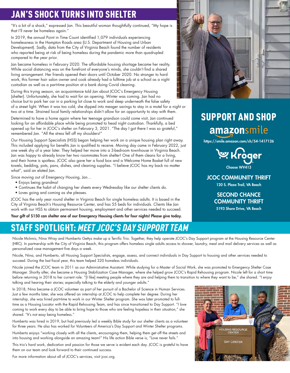## JAN'S SHOCK TURNS INTO SHELTER

"It's a bit of a shock," expressed Jan. This beautiful woman thoughtfully continued, "My hope is that I'll never be homeless again."

In 2019, the annual Point in Time Count identified 1,079 individuals experiencing homelessness in the Hampton Roads area (U.S. Department of Housing and Urban Development). Sadly, data from the City of Virginia Beach found the number of residents who reported being at risk of being homeless during the pandemic more than quadrupled compared to the year prior.

Jan became homeless in February 2020. The affordable housing shortage became her reality. While social distancing was on the forefront of everyone's minds, she couldn't find a shared living arrangement. Her friends opened their doors until October 2020. No stranger to hard work, this former hair salon owner and cook already had a fulltime job at a school as a night custodian as well as a part-time position at a bank doing Covid cleaning.

During this trying season, an acquaintance told Jan about JCOC's Emergency Housing (shelter). Unfortunately, she had to wait for an opening. Winter was coming. Jan had no choice but to park her car in a parking lot close to work and sleep underneath the false safety of a street light. When it was too cold, she dipped into meager savings to stay in a motel for a night or two at a time. Strained local family relationships didn't allow for an opportunity to stay with them.

Determined to have a home again where her teenage grandson could come visit, Jan continued looking for an affordable place while being promoted to head night custodian. Thankfully, a bed opened up for her in JCOC's shelter on February 3, 2021. "The day I got there I was so grateful," remembered Jan. "All the stress fell off my shoulders!"

Our Housing Support Specialists (HSS) began helping her work on a unique housing plan right away. This included applying for benefits Jan is qualified to receive. Moving day came in February 2022, just one week shy of a year later. They helped her move into a 3-bedroom townhouse in Virginia Beach. Jan was happy to already know her two roommates from shelter! One of them cleans for a living, and their home is spotless. JCOC also gave her a food box and a Welcome Home Basket full of new towels, bedding, pots, pans, dishes, and cleaning supplies. "I believe JCOC has my back no matter what", said an elated Jan.

Since moving out of Emergency Housing, Jan…

- Enjoys being grandma!
- Continues the habit of changing her sheets every Wednesday like our shelter clients do.
- Loves going and coming as she pleases.

JCOC has the only year round shelter in Virginia Beach for single homeless adults. It is based in the City of Virginia Beach's Housing Resource Center, and has 55 beds for individuals. Clients like Jan work with our HSS to obtain permanent housing, employment and other services needed to succeed.

Your gift of \$150 can shelter one of our Emergency Housing clients for four nights! Please give today.

## STAFF SPOTLIGHT: *MEET JCOC'S DAY SUPPORT TEAM*

![](_page_2_Picture_14.jpeg)

Nicole, Nina, and Humberto, all Housing Support Specialists, engage, assess, and connect individuals in Day Support to housing and other services needed to succeed. During the last fiscal year, this team helped 320 homeless individuals.

Nicole joined the JCOC team in 2011 as our Administrative Assistant. While studying for a Master of Social Work, she was promoted to Emergency Shelter Case Manager. Shortly after, she became a Housing Stabilization Case Manager, where she helped grow JCOC's Rapid Rehousing program. Nicole left for a short time before returning in 2018 to her current role. "[I like] meeting people where they are and helping them to transition to where they want to be," she shared. "I enjoy talking and hearing their stories; especially talking to the elderly and younger adults."

In 2018, Nina became a JCOC volunteer as part of her pursuit of a Bachelor of Science in Human Services. Just a few months later, she was offered an internship at JCOC to help complete her degree. During her internship, she was hired part-time to work in our Winter Shelter program. She was later promoted to fulltime as a Housing Locator with the Rapid Rehousing Team, and has since transitioned to Day Support. "I love coming to work every day to be able to bring hope to those who are feeling hopeless in their situation," she shared. "It's not easy being homeless."

Humberto was hired in 2019, but had previously led a weekly Bible study for our shelter clients as a volunteer for three years. He also has worked for Volunteers of America's Day Support and Winter Shelter programs.

Humberto enjoys "working closely with all the clients, encouraging them, helping them get off the streets and into housing and working alongside an amazing team!" His life action Bible verse is, "Love never fails."

This trio's hard work, dedication and passion for those we serve is evident each day. JCOC is grateful to have them on our team and look forward to their continued success.

![](_page_2_Picture_21.jpeg)

# SUPPORT AND SHOP amazonsmile

https://smile.amazon.com/ch/54-1417126

![](_page_2_Picture_24.jpeg)

#### JCOC COMMUNITY THRIFT

120 S. Plaza Trail, VA Beach

### SECOND CHANCE COMMUNITY THRIFT

5193 Shore Drive, VA Beach

![](_page_2_Picture_29.jpeg)

For more information about all of JCOC's services, visit jcoc.org.